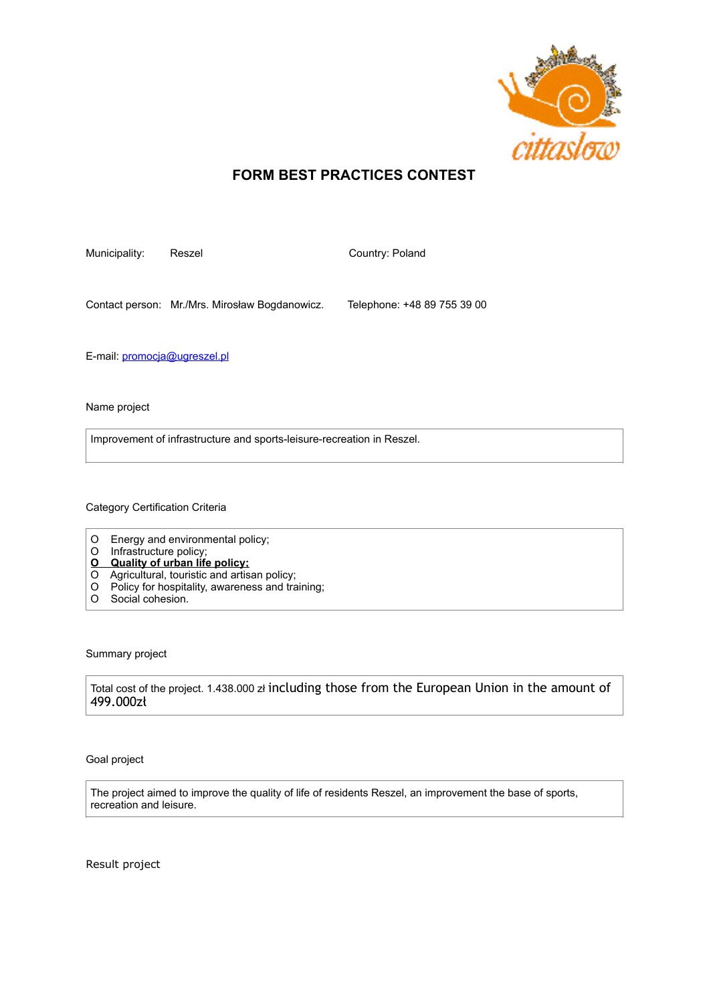

## **FORM BEST PRACTICES CONTEST**

Municipality: Reszel Country: Poland

Contact person: Mr./Mrs. Mirosław Bogdanowicz. Telephone: +48 89 755 39 00

E-mail: [promocja@ugreszel.pl](mailto:promocja@ugreszel.pl)

Name project

Improvement of infrastructure and sports-leisure-recreation in Reszel.

Category Certification Criteria

- O Energy and environmental policy;
- O Infrastructure policy;
- **O Quality of urban life policy;**
- O Agricultural, touristic and artisan policy;
- O Policy for hospitality, awareness and training;
- O Social cohesion.

Summary project

Total cost of the project. 1.438.000 zł including those from the European Union in the amount of 499.000zł

Goal project

The project aimed to improve the quality of life of residents Reszel, an improvement the base of sports, recreation and leisure.

Result project